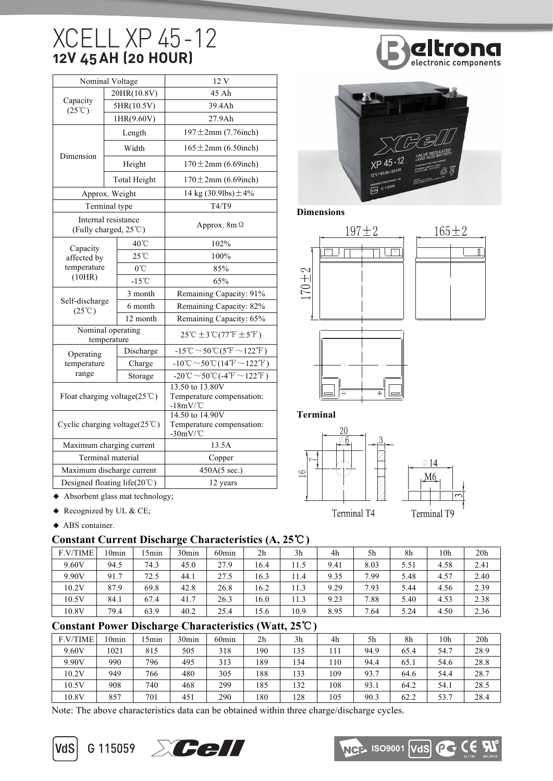# XCELL XP 45 -12 **12V 45 AH (20 HOUR) Specifications**

| Nominal Voltage                               |  |                     | 12 V                                                                                        |  |  |  |  |
|-----------------------------------------------|--|---------------------|---------------------------------------------------------------------------------------------|--|--|--|--|
|                                               |  | 20HR(10.8V)         | 45 Ah                                                                                       |  |  |  |  |
| Capacity<br>$(25^{\circ}\text{C})$            |  | 5HR(10.5V)          | 39.4Ah                                                                                      |  |  |  |  |
|                                               |  | 1HR(9.60V)          | 27.9Ah                                                                                      |  |  |  |  |
|                                               |  | Length              | $197 \pm 2$ mm (7.76inch)                                                                   |  |  |  |  |
| Dimension                                     |  | Width               | $165 \pm 2$ mm (6.50inch)                                                                   |  |  |  |  |
|                                               |  | Height              | $170 \pm 2$ mm (6.69inch)                                                                   |  |  |  |  |
|                                               |  | <b>Total Height</b> | $170 \pm 2$ mm (6.69inch)                                                                   |  |  |  |  |
| Approx. Weight                                |  |                     | 14 kg $(30.9$ lbs) $\pm 4\%$                                                                |  |  |  |  |
| Terminal type                                 |  |                     | T4/T9                                                                                       |  |  |  |  |
| Internal resistance<br>(Fully charged, 25°C)  |  |                     | Approx. $8m\Omega$                                                                          |  |  |  |  |
| Capacity                                      |  | 40°C                | 102%                                                                                        |  |  |  |  |
| affected by                                   |  | 25°C                | 100%                                                                                        |  |  |  |  |
| temperature                                   |  | $0^{\circ}$ C       | 85%                                                                                         |  |  |  |  |
| (10HR)                                        |  | $-15^{\circ}$ C     | 65%                                                                                         |  |  |  |  |
| Self-discharge<br>$(25^{\circ}\text{C})$      |  | 3 month             | Remaining Capacity: 91%                                                                     |  |  |  |  |
|                                               |  | 6 month             | Remaining Capacity: 82%                                                                     |  |  |  |  |
|                                               |  | 12 month            | Remaining Capacity: 65%                                                                     |  |  |  |  |
| Nominal operating<br>temperature              |  |                     | $25^{\circ}\text{C} \pm 3^{\circ}\text{C} (77^{\circ}\text{F} \pm 5^{\circ}\text{F})$       |  |  |  |  |
| Operating                                     |  | Discharge           | $-15^{\circ}\text{C} \sim 50^{\circ}\text{C}(5^{\circ}\text{F} \sim 122^{\circ}\text{F})$   |  |  |  |  |
| temperature                                   |  | Charge              | $-10^{\circ}\text{C} \sim 50^{\circ}\text{C} (14^{\circ}\text{F} \sim 122^{\circ}\text{F})$ |  |  |  |  |
| range                                         |  | Storage             | $-20^{\circ}\text{C} \sim 50^{\circ}\text{C} (-4^{\circ}\text{F} \sim 122^{\circ}\text{F})$ |  |  |  |  |
| Float charging voltage( $25^{\circ}$ C)       |  |                     | 13.50 to 13.80V<br>Temperature compensation:<br>$-18mV$ <sup>°</sup> C                      |  |  |  |  |
| Cyclic charging voltage( $25^{\circ}$ C)      |  |                     | 14.50 to 14.90V<br>Temperature compensation:<br>$-30mV$ <sup>°</sup> C                      |  |  |  |  |
| Maximum charging current                      |  |                     | 13.5A                                                                                       |  |  |  |  |
| Terminal material                             |  |                     | Copper                                                                                      |  |  |  |  |
| Maximum discharge current                     |  |                     | 450A(5 sec.)                                                                                |  |  |  |  |
| Designed floating life $(20^{\circ}\text{C})$ |  |                     | 12 years                                                                                    |  |  |  |  |
|                                               |  |                     |                                                                                             |  |  |  |  |





**Dimensions**



**Terminal**



◆ Absorbent glass mat technology;

- $\triangleleft$  Recognized by UL & CE;
- ◆ ABS container.

### **Constant Current Discharge Characteristics (A, 25**℃**)**

|          |          |                  | $\bullet$         |                   |                |                |      |      |      |                 |                 |
|----------|----------|------------------|-------------------|-------------------|----------------|----------------|------|------|------|-----------------|-----------------|
| F.V/TIME | $10$ min | 5 <sub>min</sub> | 30 <sub>min</sub> | 60 <sub>min</sub> | 2 <sub>h</sub> | 3 <sub>h</sub> | 4h   | 5h   | 8h   | 10 <sub>h</sub> | 20 <sub>h</sub> |
| 9.60V    | 94.5     | 74.3             | 45.0              | 27.9              | 16.4           | 11.5           | 9.41 | 8.03 | 5.51 | 4.58            | 2.41            |
| 9.90V    | 91.7     | 72.5             | 44.1              | 27.5              | 16.3           | 11.4           | 9.35 | 7.99 | 5.48 | 4.57            | 2.40            |
| 10.2V    | 87.9     | 69.8             | 42.8              | 26.8              | 16.2           | 11.3           | 9.29 | 7.93 | 5.44 | 4.56            | 2.39            |
| 10.5V    | 84.1     | 67.4             | 41.7              | 26.3              | 16.0           | 11.3           | 9.23 | 7.88 | 5.40 | 4.53            | 2.38            |
| 10.8V    | 79.4     | 63.9             | 40.2              | 25.4              | 15.6           | 10.9           | 8.95 | 7.64 | 5.24 | 4.50            | 2.36            |

### **Constant Power Discharge Characteristics (Watt, 25**℃**)**

| F.V/TIME | '0min | 5 <sub>min</sub> | 30min | 60 <sub>min</sub> | 2 <sub>h</sub> | 3 <sub>h</sub> | 4h  | 5h   | 8h   | 10h  | 20 <sub>h</sub> |
|----------|-------|------------------|-------|-------------------|----------------|----------------|-----|------|------|------|-----------------|
| 9.60V    | 1021  | 815              | 505   | 318               | 190            | 135            | 111 | 94.9 | 65.4 | 54.7 | 28.9            |
| 9.90V    | 990   | 796              | 495   | 313               | 189            | 134            | 110 | 94.4 | 65.1 | 54.6 | 28.8            |
| 10.2V    | 949   | 766              | 480   | 305               | 188            | 133            | 109 | 93.7 | 64.6 | 54.4 | 28.7            |
| 10.5V    | 908   | 740              | 468   | 299               | 185            | 132            | 108 | 93.1 | 64.2 | 54.1 | 28.5            |
| 10.8V    | 857   | 701              | 451   | 290               | 180            | 128            | 105 | 90.3 | 62.2 | 53.7 | 28.4            |

Note: The above characteristics data can be obtained within three charge/discharge cycles.